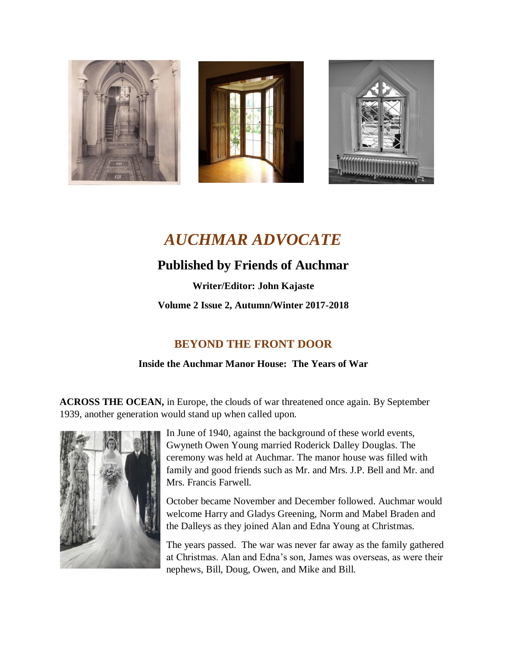

# *AUCHMAR ADVOCATE*

# **Published by Friends of Auchmar**

**Writer/Editor: John Kajaste Volume 2 Issue 2, Autumn/Winter 2017-2018**

# **BEYOND THE FRONT DOOR**

# **Inside the Auchmar Manor House: The Years of War**

**ACROSS THE OCEAN,** in Europe, the clouds of war threatened once again. By September 1939, another generation would stand up when called upon.



In June of 1940, against the background of these world events, Gwyneth Owen Young married Roderick Dalley Douglas. The ceremony was held at Auchmar. The manor house was filled with family and good friends such as Mr. and Mrs. J.P. Bell and Mr. and Mrs. Francis Farwell.

October became November and December followed. Auchmar would welcome Harry and Gladys Greening, Norm and Mabel Braden and the Dalleys as they joined Alan and Edna Young at Christmas.

The years passed. The war was never far away as the family gathered at Christmas. Alan and Edna's son, James was overseas, as were their nephews, Bill, Doug, Owen, and Mike and Bill.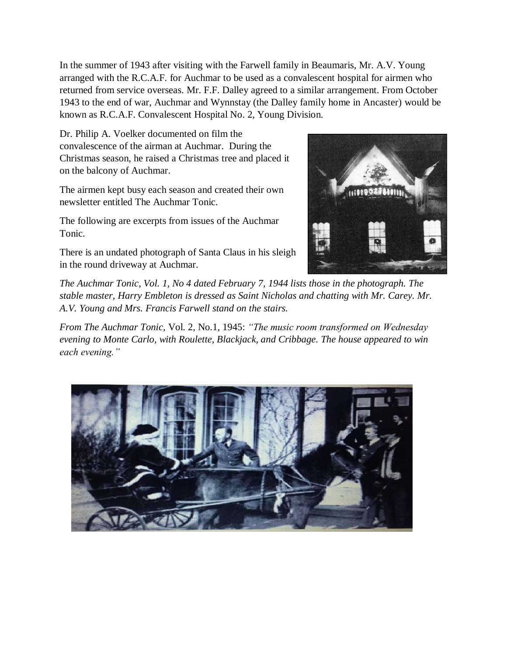In the summer of 1943 after visiting with the Farwell family in Beaumaris, Mr. A.V. Young arranged with the R.C.A.F. for Auchmar to be used as a convalescent hospital for airmen who returned from service overseas. Mr. F.F. Dalley agreed to a similar arrangement. From October 1943 to the end of war, Auchmar and Wynnstay (the Dalley family home in Ancaster) would be known as R.C.A.F. Convalescent Hospital No. 2, Young Division.

Dr. Philip A. Voelker documented on film the convalescence of the airman at Auchmar. During the Christmas season, he raised a Christmas tree and placed it on the balcony of Auchmar.

The airmen kept busy each season and created their own newsletter entitled The Auchmar Tonic.

The following are excerpts from issues of the Auchmar Tonic.



There is an undated photograph of Santa Claus in his sleigh in the round driveway at Auchmar.

*The Auchmar Tonic, Vol. 1, No 4 dated February 7, 1944 lists those in the photograph. The stable master, Harry Embleton is dressed as Saint Nicholas and chatting with Mr. Carey. Mr. A.V. Young and Mrs. Francis Farwell stand on the stairs.*

*From The Auchmar Tonic,* Vol. 2, No.1, 1945: *"The music room transformed on Wednesday evening to Monte Carlo, with Roulette, Blackjack, and Cribbage. The house appeared to win each evening."*

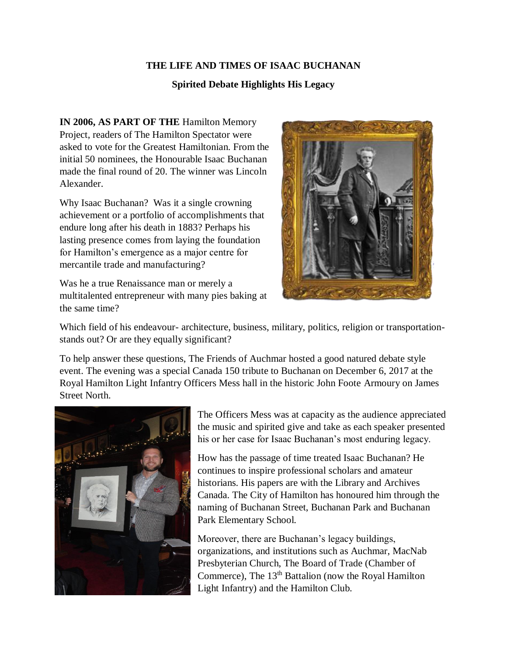#### **THE LIFE AND TIMES OF ISAAC BUCHANAN**

#### **Spirited Debate Highlights His Legacy**

**IN 2006, AS PART OF THE** Hamilton Memory Project, readers of The Hamilton Spectator were asked to vote for the Greatest Hamiltonian. From the initial 50 nominees, the Honourable Isaac Buchanan made the final round of 20. The winner was Lincoln Alexander.

Why Isaac Buchanan? Was it a single crowning achievement or a portfolio of accomplishments that endure long after his death in 1883? Perhaps his lasting presence comes from laying the foundation for Hamilton's emergence as a major centre for mercantile trade and manufacturing?

Was he a true Renaissance man or merely a multitalented entrepreneur with many pies baking at the same time?



Which field of his endeavour- architecture, business, military, politics, religion or transportationstands out? Or are they equally significant?

To help answer these questions, The Friends of Auchmar hosted a good natured debate style event. The evening was a special Canada 150 tribute to Buchanan on December 6, 2017 at the Royal Hamilton Light Infantry Officers Mess hall in the historic John Foote Armoury on James Street North.



The Officers Mess was at capacity as the audience appreciated the music and spirited give and take as each speaker presented his or her case for Isaac Buchanan's most enduring legacy.

How has the passage of time treated Isaac Buchanan? He continues to inspire professional scholars and amateur historians. His papers are with the Library and Archives Canada. The City of Hamilton has honoured him through the naming of Buchanan Street, Buchanan Park and Buchanan Park Elementary School.

Moreover, there are Buchanan's legacy buildings, organizations, and institutions such as Auchmar, MacNab Presbyterian Church, The Board of Trade (Chamber of Commerce), The  $13<sup>th</sup>$  Battalion (now the Royal Hamilton Light Infantry) and the Hamilton Club.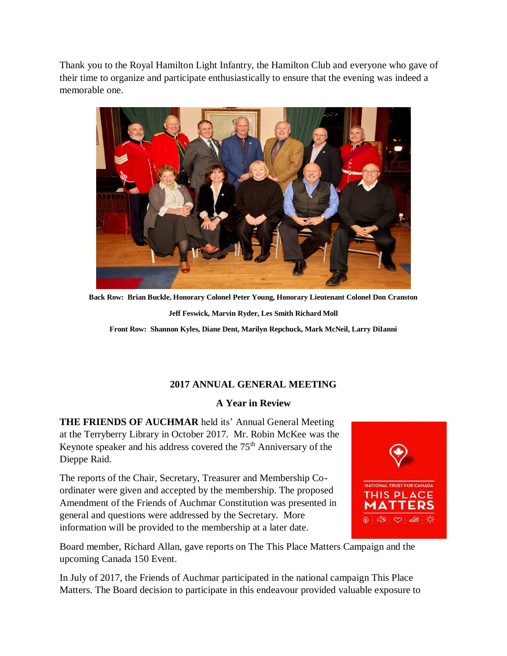Thank you to the Royal Hamilton Light Infantry, the Hamilton Club and everyone who gave of their time to organize and participate enthusiastically to ensure that the evening was indeed a memorable one.



**Back Row: Brian Buckle, Honorary Colonel Peter Young, Honorary Lieutenant Colonel Don Cranston Jeff Feswick, Marvin Ryder, Les Smith Richard Moll**

**Front Row: Shannon Kyles, Diane Dent, Marilyn Repchuck, Mark McNeil, Larry DiIanni**

# **2017 ANNUAL GENERAL MEETING**

# **A Year in Review**

**THE FRIENDS OF AUCHMAR** held its' Annual General Meeting at the Terryberry Library in October 2017. Mr. Robin McKee was the Keynote speaker and his address covered the  $75<sup>th</sup>$  Anniversary of the Dieppe Raid.

The reports of the Chair, Secretary, Treasurer and Membership Coordinater were given and accepted by the membership. The proposed Amendment of the Friends of Auchmar Constitution was presented in general and questions were addressed by the Secretary. More information will be provided to the membership at a later date.



Board member, Richard Allan, gave reports on The This Place Matters Campaign and the upcoming Canada 150 Event.

In July of 2017, the Friends of Auchmar participated in the national campaign This Place Matters. The Board decision to participate in this endeavour provided valuable exposure to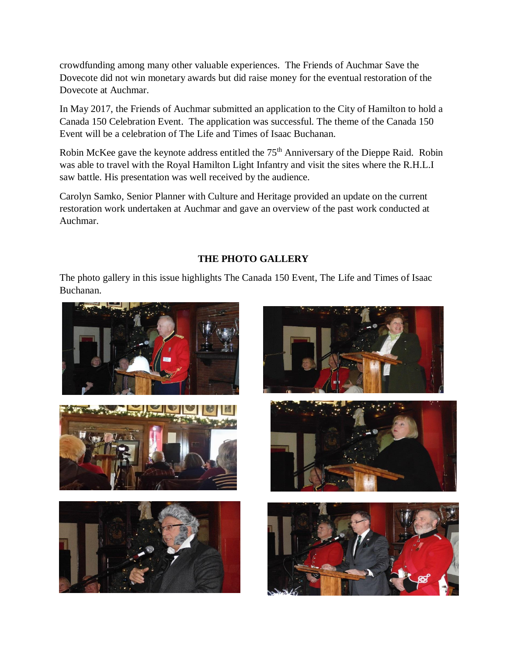crowdfunding among many other valuable experiences. The Friends of Auchmar Save the Dovecote did not win monetary awards but did raise money for the eventual restoration of the Dovecote at Auchmar.

In May 2017, the Friends of Auchmar submitted an application to the City of Hamilton to hold a Canada 150 Celebration Event. The application was successful. The theme of the Canada 150 Event will be a celebration of The Life and Times of Isaac Buchanan.

Robin McKee gave the keynote address entitled the 75<sup>th</sup> Anniversary of the Dieppe Raid. Robin was able to travel with the Royal Hamilton Light Infantry and visit the sites where the R.H.L.I saw battle. His presentation was well received by the audience.

Carolyn Samko, Senior Planner with Culture and Heritage provided an update on the current restoration work undertaken at Auchmar and gave an overview of the past work conducted at Auchmar.

# **THE PHOTO GALLERY**

The photo gallery in this issue highlights The Canada 150 Event, The Life and Times of Isaac Buchanan.